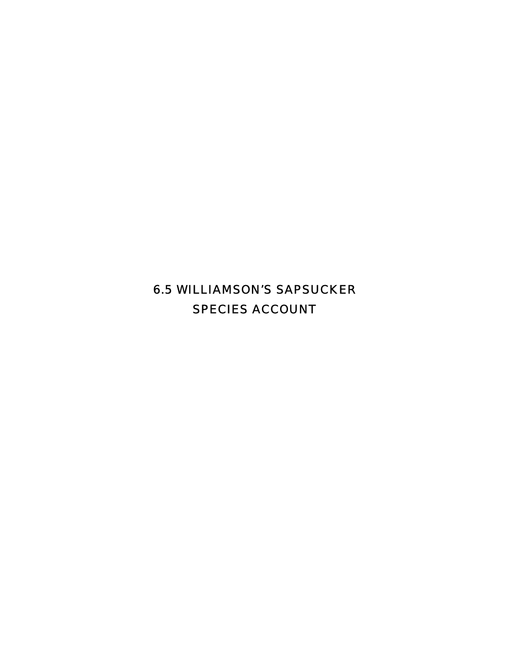6.5 WILLIAMSON'S SAPSUCKER SPECIES ACCOUNT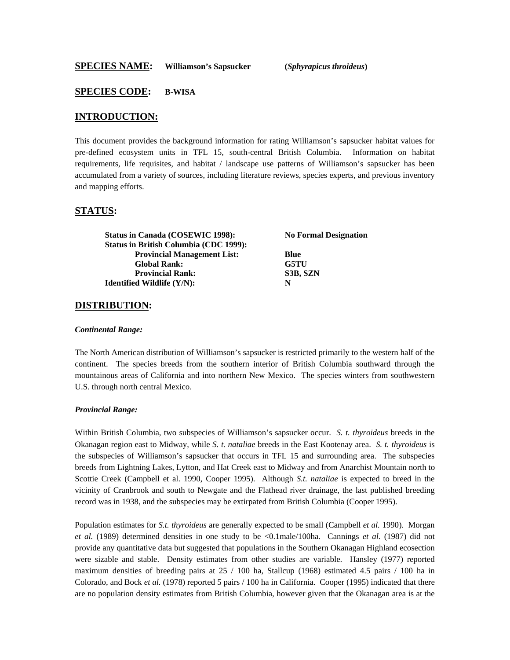#### **SPECIES CODE: B-WISA**

#### **INTRODUCTION:**

This document provides the background information for rating Williamson's sapsucker habitat values for pre-defined ecosystem units in TFL 15, south-central British Columbia. Information on habitat requirements, life requisites, and habitat / landscape use patterns of Williamson's sapsucker has been accumulated from a variety of sources, including literature reviews, species experts, and previous inventory and mapping efforts.

#### **STATUS:**

| Status in Canada (COSEWIC 1998):              | <b>No Formal Designation</b> |  |
|-----------------------------------------------|------------------------------|--|
| <b>Status in British Columbia (CDC 1999):</b> |                              |  |
| <b>Provincial Management List:</b>            | <b>Blue</b>                  |  |
| <b>Global Rank:</b>                           | G5TU                         |  |
| <b>Provincial Rank:</b>                       | S3B, SZN                     |  |
| <b>Identified Wildlife (Y/N):</b>             | N                            |  |

#### **DISTRIBUTION:**

#### *Continental Range:*

The North American distribution of Williamson's sapsucker is restricted primarily to the western half of the continent. The species breeds from the southern interior of British Columbia southward through the mountainous areas of California and into northern New Mexico. The species winters from southwestern U.S. through north central Mexico.

#### *Provincial Range:*

Within British Columbia, two subspecies of Williamson's sapsucker occur. *S. t. thyroideus* breeds in the Okanagan region east to Midway, while *S. t. nataliae* breeds in the East Kootenay area. *S. t. thyroideus* is the subspecies of Williamson's sapsucker that occurs in TFL 15 and surrounding area. The subspecies breeds from Lightning Lakes, Lytton, and Hat Creek east to Midway and from Anarchist Mountain north to Scottie Creek (Campbell et al. 1990, Cooper 1995). Although *S.t. nataliae* is expected to breed in the vicinity of Cranbrook and south to Newgate and the Flathead river drainage, the last published breeding record was in 1938, and the subspecies may be extirpated from British Columbia (Cooper 1995).

Population estimates for *S.t. thyroideus* are generally expected to be small (Campbell *et al.* 1990). Morgan *et al.* (1989) determined densities in one study to be <0.1male/100ha. Cannings *et al.* (1987) did not provide any quantitative data but suggested that populations in the Southern Okanagan Highland ecosection were sizable and stable. Density estimates from other studies are variable. Hansley (1977) reported maximum densities of breeding pairs at  $25/100$  ha, Stallcup (1968) estimated 4.5 pairs / 100 ha in Colorado, and Bock *et al.* (1978) reported 5 pairs / 100 ha in California. Cooper (1995) indicated that there are no population density estimates from British Columbia, however given that the Okanagan area is at the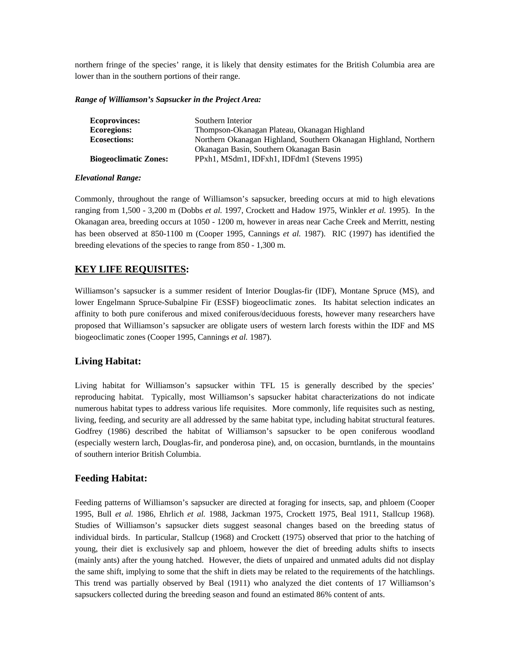northern fringe of the species' range, it is likely that density estimates for the British Columbia area are lower than in the southern portions of their range.

#### *Range of Williamson's Sapsucker in the Project Area:*

| <b>Ecoprovinces:</b>         | Southern Interior                                                |
|------------------------------|------------------------------------------------------------------|
| <b>Ecoregions:</b>           | Thompson-Okanagan Plateau, Okanagan Highland                     |
| <b>Ecosections:</b>          | Northern Okanagan Highland, Southern Okanagan Highland, Northern |
|                              | Okanagan Basin, Southern Okanagan Basin                          |
| <b>Biogeoclimatic Zones:</b> | PPxh1, MSdm1, IDFxh1, IDFdm1 (Stevens 1995)                      |

#### *Elevational Range:*

Commonly, throughout the range of Williamson's sapsucker, breeding occurs at mid to high elevations ranging from 1,500 - 3,200 m (Dobbs *et al.* 1997, Crockett and Hadow 1975, Winkler *et al.* 1995). In the Okanagan area, breeding occurs at 1050 - 1200 m, however in areas near Cache Creek and Merritt, nesting has been observed at 850-1100 m (Cooper 1995, Cannings *et al.* 1987). RIC (1997) has identified the breeding elevations of the species to range from 850 - 1,300 m.

# **KEY LIFE REQUISITES:**

Williamson's sapsucker is a summer resident of Interior Douglas-fir (IDF), Montane Spruce (MS), and lower Engelmann Spruce-Subalpine Fir (ESSF) biogeoclimatic zones. Its habitat selection indicates an affinity to both pure coniferous and mixed coniferous/deciduous forests, however many researchers have proposed that Williamson's sapsucker are obligate users of western larch forests within the IDF and MS biogeoclimatic zones (Cooper 1995, Cannings *et al.* 1987).

## **Living Habitat:**

Living habitat for Williamson's sapsucker within TFL 15 is generally described by the species' reproducing habitat. Typically, most Williamson's sapsucker habitat characterizations do not indicate numerous habitat types to address various life requisites. More commonly, life requisites such as nesting, living, feeding, and security are all addressed by the same habitat type, including habitat structural features. Godfrey (1986) described the habitat of Williamson's sapsucker to be open coniferous woodland (especially western larch, Douglas-fir, and ponderosa pine), and, on occasion, burntlands, in the mountains of southern interior British Columbia.

# **Feeding Habitat:**

Feeding patterns of Williamson's sapsucker are directed at foraging for insects, sap, and phloem (Cooper 1995, Bull *et al.* 1986, Ehrlich *et al.* 1988, Jackman 1975, Crockett 1975, Beal 1911, Stallcup 1968). Studies of Williamson's sapsucker diets suggest seasonal changes based on the breeding status of individual birds. In particular, Stallcup (1968) and Crockett (1975) observed that prior to the hatching of young, their diet is exclusively sap and phloem, however the diet of breeding adults shifts to insects (mainly ants) after the young hatched. However, the diets of unpaired and unmated adults did not display the same shift, implying to some that the shift in diets may be related to the requirements of the hatchlings. This trend was partially observed by Beal (1911) who analyzed the diet contents of 17 Williamson's sapsuckers collected during the breeding season and found an estimated 86% content of ants.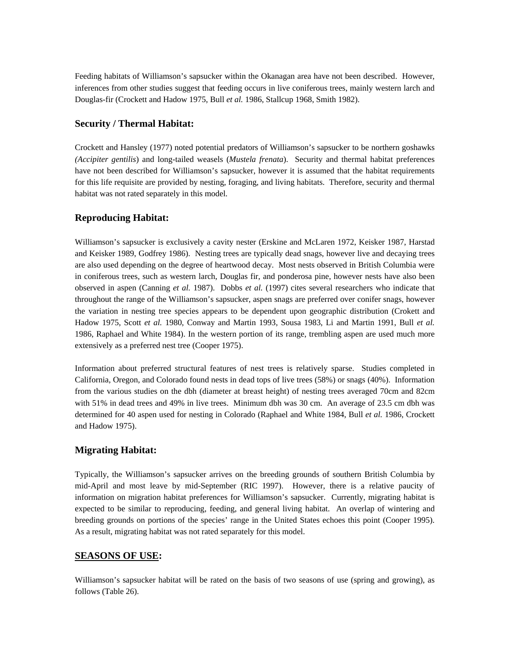Feeding habitats of Williamson's sapsucker within the Okanagan area have not been described. However, inferences from other studies suggest that feeding occurs in live coniferous trees, mainly western larch and Douglas-fir (Crockett and Hadow 1975, Bull *et al.* 1986, Stallcup 1968, Smith 1982).

## **Security / Thermal Habitat:**

Crockett and Hansley (1977) noted potential predators of Williamson's sapsucker to be northern goshawks *(Accipiter gentilis*) and long-tailed weasels (*Mustela frenata*). Security and thermal habitat preferences have not been described for Williamson's sapsucker, however it is assumed that the habitat requirements for this life requisite are provided by nesting, foraging, and living habitats. Therefore, security and thermal habitat was not rated separately in this model.

# **Reproducing Habitat:**

Williamson's sapsucker is exclusively a cavity nester (Erskine and McLaren 1972, Keisker 1987, Harstad and Keisker 1989, Godfrey 1986). Nesting trees are typically dead snags, however live and decaying trees are also used depending on the degree of heartwood decay. Most nests observed in British Columbia were in coniferous trees, such as western larch, Douglas fir, and ponderosa pine, however nests have also been observed in aspen (Canning *et al.* 1987). Dobbs *et al.* (1997) cites several researchers who indicate that throughout the range of the Williamson's sapsucker, aspen snags are preferred over conifer snags, however the variation in nesting tree species appears to be dependent upon geographic distribution (Crokett and Hadow 1975, Scott *et al.* 1980, Conway and Martin 1993, Sousa 1983, Li and Martin 1991, Bull *et al.* 1986, Raphael and White 1984). In the western portion of its range, trembling aspen are used much more extensively as a preferred nest tree (Cooper 1975).

Information about preferred structural features of nest trees is relatively sparse. Studies completed in California, Oregon, and Colorado found nests in dead tops of live trees (58%) or snags (40%). Information from the various studies on the dbh (diameter at breast height) of nesting trees averaged 70cm and 82cm with 51% in dead trees and 49% in live trees. Minimum dbh was 30 cm. An average of 23.5 cm dbh was determined for 40 aspen used for nesting in Colorado (Raphael and White 1984, Bull *et al.* 1986, Crockett and Hadow 1975).

## **Migrating Habitat:**

Typically, the Williamson's sapsucker arrives on the breeding grounds of southern British Columbia by mid-April and most leave by mid-September (RIC 1997). However, there is a relative paucity of information on migration habitat preferences for Williamson's sapsucker. Currently, migrating habitat is expected to be similar to reproducing, feeding, and general living habitat. An overlap of wintering and breeding grounds on portions of the species' range in the United States echoes this point (Cooper 1995). As a result, migrating habitat was not rated separately for this model.

## **SEASONS OF USE:**

Williamson's sapsucker habitat will be rated on the basis of two seasons of use (spring and growing), as follows (Table 26).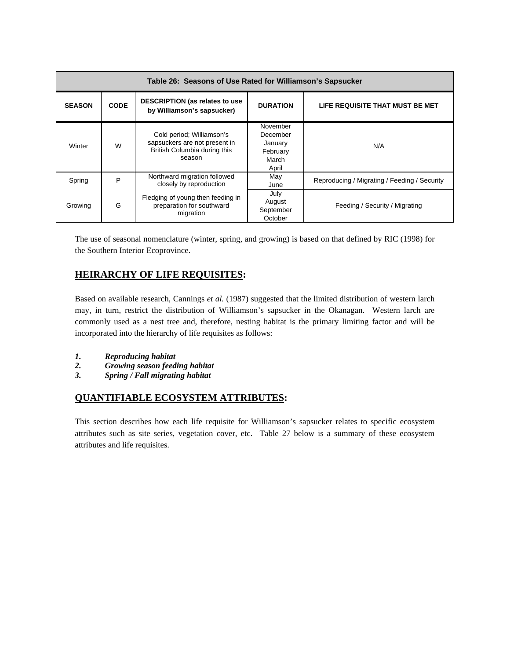| Table 26: Seasons of Use Rated for Williamson's Sapsucker |             |                                                                                                      |                                                               |                                              |  |
|-----------------------------------------------------------|-------------|------------------------------------------------------------------------------------------------------|---------------------------------------------------------------|----------------------------------------------|--|
| <b>SEASON</b>                                             | <b>CODE</b> | <b>DESCRIPTION (as relates to use</b><br><b>DURATION</b><br>by Williamson's sapsucker)               |                                                               | LIFE REQUISITE THAT MUST BE MET              |  |
| Winter                                                    | W           | Cold period; Williamson's<br>sapsuckers are not present in<br>British Columbia during this<br>season | November<br>December<br>January<br>February<br>March<br>April | N/A                                          |  |
| Spring                                                    | P           | Northward migration followed<br>closely by reproduction                                              | May<br>June                                                   | Reproducing / Migrating / Feeding / Security |  |
| Growing                                                   | G           | Fledging of young then feeding in<br>preparation for southward<br>migration                          | July<br>August<br>September<br>October                        | Feeding / Security / Migrating               |  |

The use of seasonal nomenclature (winter, spring, and growing) is based on that defined by RIC (1998) for the Southern Interior Ecoprovince.

# **HEIRARCHY OF LIFE REQUISITES:**

Based on available research, Cannings *et al.* (1987) suggested that the limited distribution of western larch may, in turn, restrict the distribution of Williamson's sapsucker in the Okanagan. Western larch are commonly used as a nest tree and, therefore, nesting habitat is the primary limiting factor and will be incorporated into the hierarchy of life requisites as follows:

- *1. Reproducing habitat*
- *2. Growing season feeding habitat*
- *3. Spring / Fall migrating habitat*

# **QUANTIFIABLE ECOSYSTEM ATTRIBUTES:**

This section describes how each life requisite for Williamson's sapsucker relates to specific ecosystem attributes such as site series, vegetation cover, etc. Table 27 below is a summary of these ecosystem attributes and life requisites.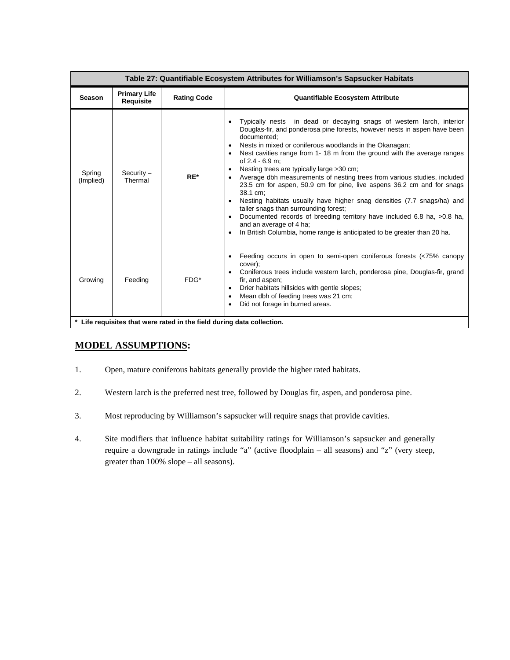| Table 27: Quantifiable Ecosystem Attributes for Williamson's Sapsucker Habitats |                                  |                    |                                                                                                                                                                                                                                                                                                                                                                                                                                                                                                                                                                                                                                                                                                                                                                                                                                               |
|---------------------------------------------------------------------------------|----------------------------------|--------------------|-----------------------------------------------------------------------------------------------------------------------------------------------------------------------------------------------------------------------------------------------------------------------------------------------------------------------------------------------------------------------------------------------------------------------------------------------------------------------------------------------------------------------------------------------------------------------------------------------------------------------------------------------------------------------------------------------------------------------------------------------------------------------------------------------------------------------------------------------|
| <b>Season</b>                                                                   | <b>Primary Life</b><br>Requisite | <b>Rating Code</b> | <b>Quantifiable Ecosystem Attribute</b>                                                                                                                                                                                                                                                                                                                                                                                                                                                                                                                                                                                                                                                                                                                                                                                                       |
| Spring<br>(Implied)                                                             | $Security -$<br>Thermal          | $RE^*$             | Typically nests in dead or decaying snags of western larch, interior<br>Douglas-fir, and ponderosa pine forests, however nests in aspen have been<br>documented:<br>Nests in mixed or coniferous woodlands in the Okanagan;<br>Nest cavities range from 1-18 m from the ground with the average ranges<br>of 2.4 - 6.9 m:<br>Nesting trees are typically large >30 cm;<br>Average dbh measurements of nesting trees from various studies, included<br>23.5 cm for aspen, 50.9 cm for pine, live aspens 36.2 cm and for snags<br>38.1 cm:<br>Nesting habitats usually have higher snag densities (7.7 snags/ha) and<br>taller snags than surrounding forest;<br>Documented records of breeding territory have included 6.8 ha, >0.8 ha,<br>and an average of 4 ha;<br>In British Columbia, home range is anticipated to be greater than 20 ha. |
| Growing                                                                         | Feeding                          | $FDG*$             | Feeding occurs in open to semi-open coniferous forests (<75% canopy<br>cover);<br>Coniferous trees include western larch, ponderosa pine, Douglas-fir, grand<br>fir, and aspen;<br>Drier habitats hillsides with gentle slopes;<br>٠<br>Mean dbh of feeding trees was 21 cm;<br>Did not forage in burned areas.                                                                                                                                                                                                                                                                                                                                                                                                                                                                                                                               |
| * Life requisites that were rated in the field during data collection.          |                                  |                    |                                                                                                                                                                                                                                                                                                                                                                                                                                                                                                                                                                                                                                                                                                                                                                                                                                               |

# **MODEL ASSUMPTIONS:**

- 1. Open, mature coniferous habitats generally provide the higher rated habitats.
- 2. Western larch is the preferred nest tree, followed by Douglas fir, aspen, and ponderosa pine.
- 3. Most reproducing by Williamson's sapsucker will require snags that provide cavities.
- 4. Site modifiers that influence habitat suitability ratings for Williamson's sapsucker and generally require a downgrade in ratings include "a" (active floodplain – all seasons) and "z" (very steep, greater than 100% slope – all seasons).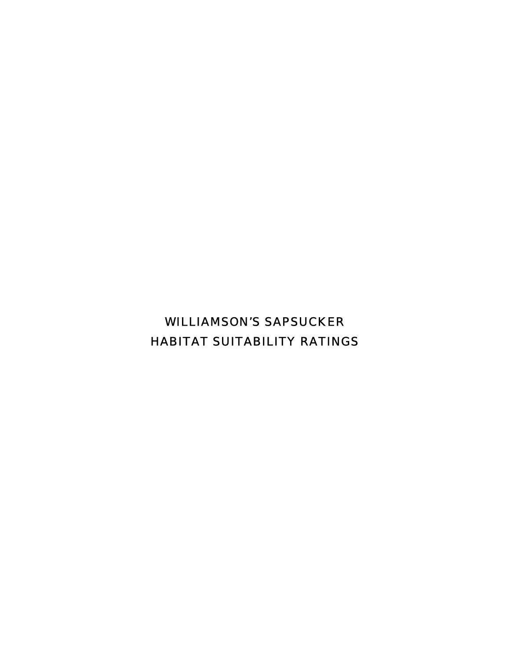# WILLIAMSON'S SAPSUCKER HABITAT SUITABILITY RATINGS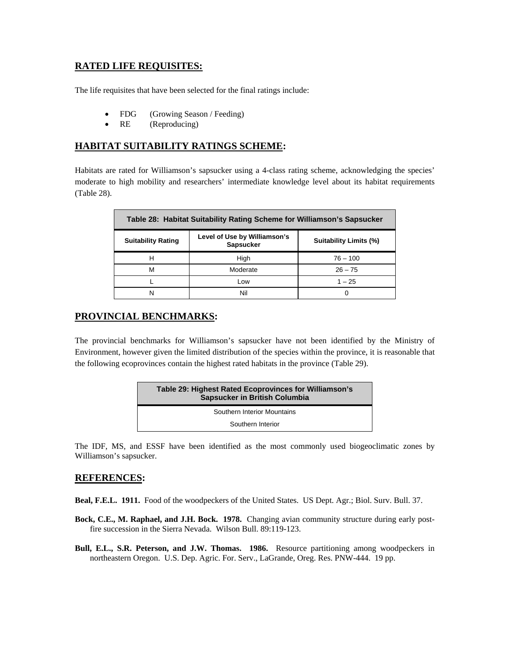# **RATED LIFE REQUISITES:**

The life requisites that have been selected for the final ratings include:

- FDG (Growing Season / Feeding)
- RE (Reproducing)

# **HABITAT SUITABILITY RATINGS SCHEME:**

Habitats are rated for Williamson's sapsucker using a 4-class rating scheme, acknowledging the species' moderate to high mobility and researchers' intermediate knowledge level about its habitat requirements (Table 28).

| Table 28: Habitat Suitability Rating Scheme for Williamson's Sapsucker |                                                                                   |            |  |  |
|------------------------------------------------------------------------|-----------------------------------------------------------------------------------|------------|--|--|
| <b>Suitability Rating</b>                                              | Level of Use by Williamson's<br><b>Suitability Limits (%)</b><br><b>Sapsucker</b> |            |  |  |
|                                                                        | High                                                                              | $76 - 100$ |  |  |
| м                                                                      | Moderate                                                                          | $26 - 75$  |  |  |
|                                                                        | Low                                                                               | $1 - 25$   |  |  |
| N                                                                      | Nil                                                                               | Ω          |  |  |

# **PROVINCIAL BENCHMARKS:**

The provincial benchmarks for Williamson's sapsucker have not been identified by the Ministry of Environment, however given the limited distribution of the species within the province, it is reasonable that the following ecoprovinces contain the highest rated habitats in the province (Table 29).

| Table 29: Highest Rated Ecoprovinces for Williamson's<br>Sapsucker in British Columbia |  |
|----------------------------------------------------------------------------------------|--|
| Southern Interior Mountains                                                            |  |
| Southern Interior                                                                      |  |

The IDF, MS, and ESSF have been identified as the most commonly used biogeoclimatic zones by Williamson's sapsucker.

## **REFERENCES:**

**Beal, F.E.L. 1911.** Food of the woodpeckers of the United States. US Dept. Agr.; Biol. Surv. Bull. 37.

- **Bock, C.E., M. Raphael, and J.H. Bock. 1978.** Changing avian community structure during early postfire succession in the Sierra Nevada. Wilson Bull. 89:119-123.
- **Bull, E.L., S.R. Peterson, and J.W. Thomas. 1986.** Resource partitioning among woodpeckers in northeastern Oregon. U.S. Dep. Agric. For. Serv., LaGrande, Oreg. Res. PNW-444. 19 pp.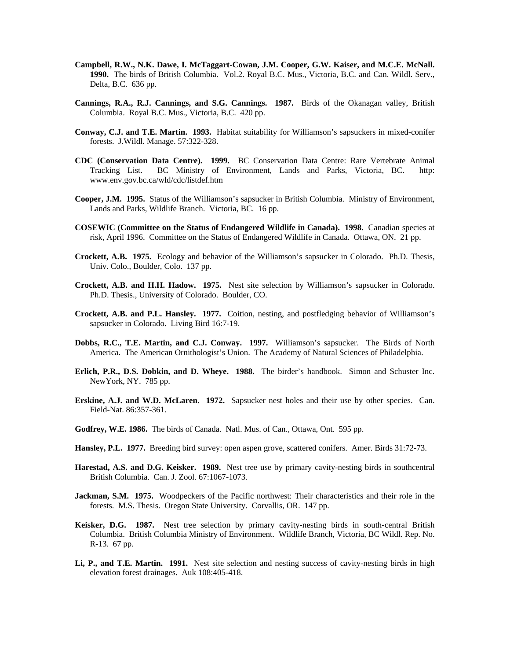- **Campbell, R.W., N.K. Dawe, I. McTaggart-Cowan, J.M. Cooper, G.W. Kaiser, and M.C.E. McNall. 1990.** The birds of British Columbia. Vol.2. Royal B.C. Mus., Victoria, B.C. and Can. Wildl. Serv., Delta, B.C. 636 pp.
- **Cannings, R.A., R.J. Cannings, and S.G. Cannings. 1987.** Birds of the Okanagan valley, British Columbia. Royal B.C. Mus., Victoria, B.C. 420 pp.
- **Conway, C.J. and T.E. Martin. 1993.** Habitat suitability for Williamson's sapsuckers in mixed-conifer forests. J.Wildl. Manage. 57:322-328.
- **CDC (Conservation Data Centre). 1999.** BC Conservation Data Centre: Rare Vertebrate Animal Tracking List. BC Ministry of Environment, Lands and Parks, Victoria, BC. http: www.env.gov.bc.ca/wld/cdc/listdef.htm
- **Cooper, J.M. 1995.** Status of the Williamson's sapsucker in British Columbia. Ministry of Environment, Lands and Parks, Wildlife Branch. Victoria, BC. 16 pp.
- **COSEWIC (Committee on the Status of Endangered Wildlife in Canada). 1998.** Canadian species at risk, April 1996. Committee on the Status of Endangered Wildlife in Canada. Ottawa, ON. 21 pp.
- **Crockett, A.B. 1975.** Ecology and behavior of the Williamson's sapsucker in Colorado. Ph.D. Thesis, Univ. Colo., Boulder, Colo. 137 pp.
- **Crockett, A.B. and H.H. Hadow. 1975.** Nest site selection by Williamson's sapsucker in Colorado. Ph.D. Thesis., University of Colorado. Boulder, CO.
- **Crockett, A.B. and P.L. Hansley. 1977.** Coition, nesting, and postfledging behavior of Williamson's sapsucker in Colorado. Living Bird 16:7-19.
- **Dobbs, R.C., T.E. Martin, and C.J. Conway. 1997.** Williamson's sapsucker. The Birds of North America. The American Ornithologist's Union. The Academy of Natural Sciences of Philadelphia.
- **Erlich, P.R., D.S. Dobkin, and D. Wheye. 1988.** The birder's handbook. Simon and Schuster Inc. NewYork, NY. 785 pp.
- **Erskine, A.J. and W.D. McLaren. 1972.** Sapsucker nest holes and their use by other species. Can. Field-Nat. 86:357-361.
- **Godfrey, W.E. 1986.** The birds of Canada. Natl. Mus. of Can., Ottawa, Ont. 595 pp.
- **Hansley, P.L. 1977.** Breeding bird survey: open aspen grove, scattered conifers. Amer. Birds 31:72-73.
- **Harestad, A.S. and D.G. Keisker. 1989.** Nest tree use by primary cavity-nesting birds in southcentral British Columbia. Can. J. Zool. 67:1067-1073.
- **Jackman, S.M. 1975.** Woodpeckers of the Pacific northwest: Their characteristics and their role in the forests. M.S. Thesis. Oregon State University. Corvallis, OR. 147 pp.
- **Keisker, D.G. 1987.** Nest tree selection by primary cavity-nesting birds in south-central British Columbia. British Columbia Ministry of Environment. Wildlife Branch, Victoria, BC Wildl. Rep. No. R-13. 67 pp.
- **Li, P., and T.E. Martin. 1991.** Nest site selection and nesting success of cavity-nesting birds in high elevation forest drainages. Auk 108:405-418.